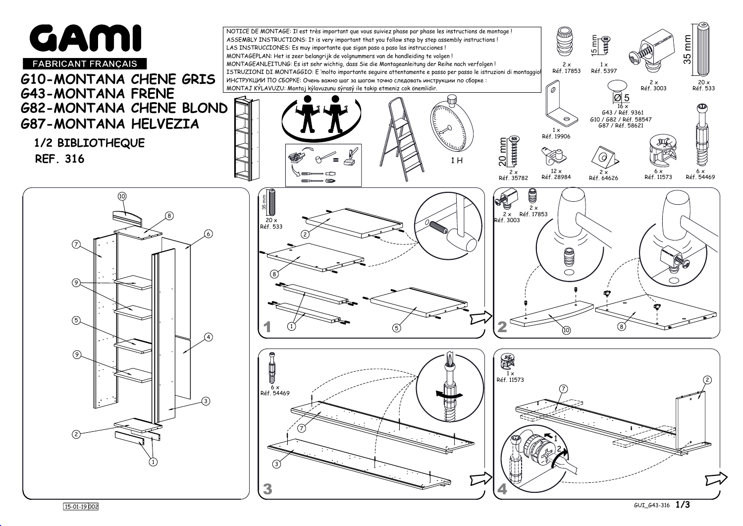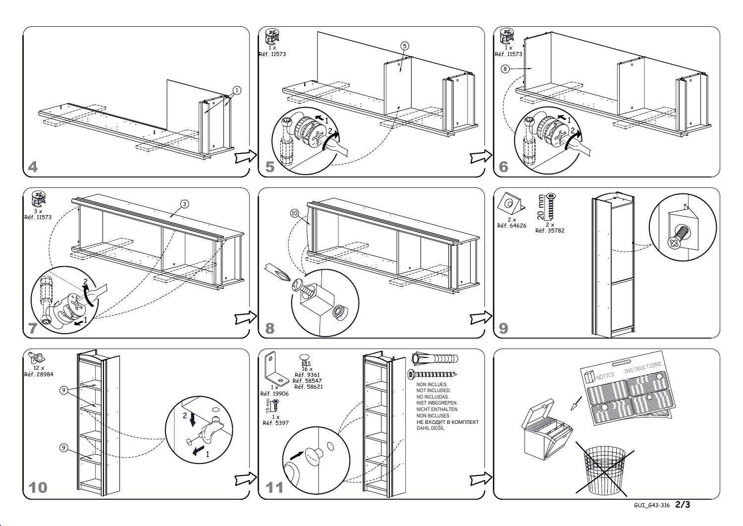